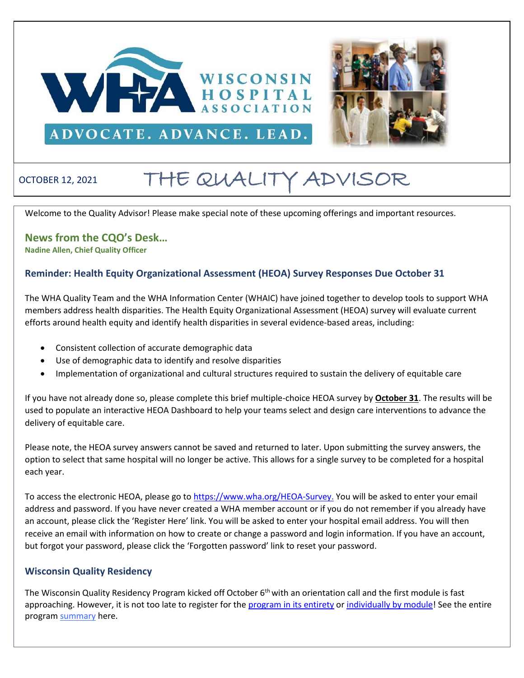



# OCTOBER 12, 2021 THE QUALITY ADVISOR

Welcome to the Quality Advisor! Please make special note of these upcoming offerings and important resources.

## **News from the CQO's Desk… Nadine Allen, Chief Quality Officer**

### **Reminder: Health Equity Organizational Assessment (HEOA) Survey Responses Due October 31**

The WHA Quality Team and the WHA Information Center (WHAIC) have joined together to develop tools to support WHA members address health disparities. The Health Equity Organizational Assessment (HEOA) survey will evaluate current efforts around health equity and identify health disparities in several evidence-based areas, including:

- Consistent collection of accurate demographic data
- Use of demographic data to identify and resolve disparities
- Implementation of organizational and cultural structures required to sustain the delivery of equitable care

If you have not already done so, please complete this brief multiple-choice HEOA survey by **October 31**. The results will be used to populate an interactive HEOA Dashboard to help your teams select and design care interventions to advance the delivery of equitable care.

Please note, the HEOA survey answers cannot be saved and returned to later. Upon submitting the survey answers, the option to select that same hospital will no longer be active. This allows for a single survey to be completed for a hospital each year.

To access the electronic HEOA, please go to [https://www.wha.org/HEOA-Survey.](https://www.wha.org/HEOA-Survey) You will be asked to enter your email address and password. If you have never created a WHA member account or if you do not remember if you already have an account, please click the 'Register Here' link. You will be asked to enter your hospital email address. You will then receive an email with information on how to create or change a password and login information. If you have an account, but forgot your password, please click the 'Forgotten password' link to reset your password.

#### **Wisconsin Quality Residency**

The Wisconsin Quality Residency Program kicked off October 6<sup>th</sup> with an orientation call and the first module is fast approaching. However, it is not too late to register for the [program in its entirety](https://forms.office.com/pages/responsepage.aspx?id=-EZlu16lpkyY7B0he0zJsDpyq15tcXFPocDSKvA5_XJUNENSUzhXM1pTNzlSMlkzTUs2STdYTkxENiQlQCN0PWcu&web=1&wdLOR=c4E65E4F5-819A-4681-9CFB-BF06E10BC900) or [individually by module!](http://www.wha.org/Home/Common-PDFs/WI-QR-ProgramGUEST-SCHEDULE-2021.pdf) See the entire program [summary](https://www.wha.org/QualityResidencyModuleSchedule) here.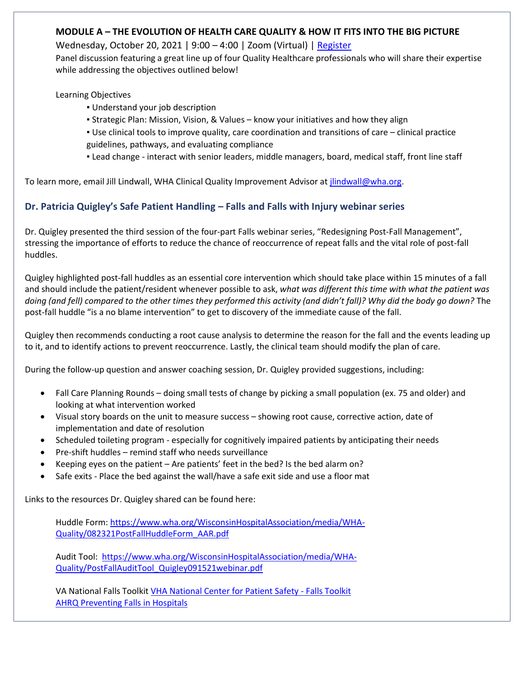## **MODULE A – THE EVOLUTION OF HEALTH CARE QUALITY & HOW IT FITS INTO THE BIG PICTURE**

Wednesday, October 20, 2021 | 9:00 - 4:00 | Zoom (Virtual) [| Register](http://www.rwhc.com/Services/Registration/SignUpToEvent/372/wi-quality-residency-program-guest-registration-20-oct-2021)

Panel discussion featuring a great line up of four Quality Healthcare professionals who will share their expertise while addressing the objectives outlined below!

Learning Objectives

- Understand your job description
- Strategic Plan: Mission, Vision, & Values know your initiatives and how they align
- Use clinical tools to improve quality, care coordination and transitions of care clinical practice guidelines, pathways, and evaluating compliance
- Lead change interact with senior leaders, middle managers, board, medical staff, front line staff

To learn more, email Jill Lindwall, WHA Clinical Quality Improvement Advisor at *jlindwall@wha.org*.

## **Dr. Patricia Quigley's Safe Patient Handling – Falls and Falls with Injury webinar series**

Dr. Quigley presented the third session of the four-part Falls webinar series, "Redesigning Post-Fall Management", stressing the importance of efforts to reduce the chance of reoccurrence of repeat falls and the vital role of post-fall huddles.

Quigley highlighted post-fall huddles as an essential core intervention which should take place within 15 minutes of a fall and should include the patient/resident whenever possible to ask, *what was different this time with what the patient was doing (and fell) compared to the other times they performed this activity (and didn't fall)? Why did the body go down?* The post-fall huddle "is a no blame intervention" to get to discovery of the immediate cause of the fall.

Quigley then recommends conducting a root cause analysis to determine the reason for the fall and the events leading up to it, and to identify actions to prevent reoccurrence. Lastly, the clinical team should modify the plan of care.

During the follow-up question and answer coaching session, Dr. Quigley provided suggestions, including:

- Fall Care Planning Rounds doing small tests of change by picking a small population (ex. 75 and older) and looking at what intervention worked
- Visual story boards on the unit to measure success showing root cause, corrective action, date of implementation and date of resolution
- Scheduled toileting program especially for cognitively impaired patients by anticipating their needs
- Pre-shift huddles remind staff who needs surveillance
- Keeping eyes on the patient Are patients' feet in the bed? Is the bed alarm on?
- Safe exits Place the bed against the wall/have a safe exit side and use a floor mat

Links to the resources Dr. Quigley shared can be found here:

Huddle Form[: https://www.wha.org/WisconsinHospitalAssociation/media/WHA-](https://www.wha.org/WisconsinHospitalAssociation/media/WHA-Quality/082321PostFallHuddleForm_AAR.pdf)[Quality/082321PostFallHuddleForm\\_AAR.pdf](https://www.wha.org/WisconsinHospitalAssociation/media/WHA-Quality/082321PostFallHuddleForm_AAR.pdf)

Audit Tool: [https://www.wha.org/WisconsinHospitalAssociation/media/WHA-](https://www.wha.org/WisconsinHospitalAssociation/media/WHA-Quality/PostFallAuditTool_Quigley091521webinar.pdf)[Quality/PostFallAuditTool\\_Quigley091521webinar.pdf](https://www.wha.org/WisconsinHospitalAssociation/media/WHA-Quality/PostFallAuditTool_Quigley091521webinar.pdf)

VA National Falls Toolkit [VHA National Center for Patient Safety -](https://www.patientsafety.va.gov/professionals/onthejob/falls.asp) Falls Toolkit [AHRQ Preventing Falls in Hospitals](https://www.ahrq.gov/patient-safety/settings/hospital/fall-prevention/toolkit/index.html)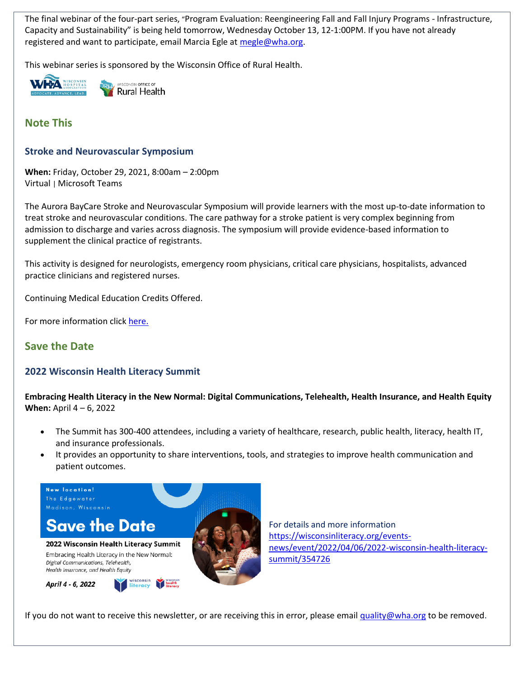The final webinar of the four-part series, "Program Evaluation: Reengineering Fall and Fall Injury Programs - Infrastructure, Capacity and Sustainability" is being held tomorrow, Wednesday October 13, 12-1:00PM. If you have not already registered and want to participate, email Marcia Egle at [megle@wha.org.](mailto:megle@wha.org)

This webinar series is sponsored by the Wisconsin Office of Rural Health.



WISCONSIN OFFICE OF Rural Health

**Note This**

## **Stroke and Neurovascular Symposium**

**When:** Friday, October 29, 2021, 8:00am – 2:00pm Virtual | Microsoft Teams

The Aurora BayCare Stroke and Neurovascular Symposium will provide learners with the most up-to-date information to treat stroke and neurovascular conditions. The care pathway for a stroke patient is very complex beginning from admission to discharge and varies across diagnosis. The symposium will provide evidence-based information to supplement the clinical practice of registrants.

This activity is designed for neurologists, emergency room physicians, critical care physicians, hospitalists, advanced practice clinicians and registered nurses.

Continuing Medical Education Credits Offered.

For more information click [here.](https://www.wha.org/Flyer-Stroke-and-Neuro-Symposium-Virtual)

# **Save the Date**

## **2022 Wisconsin Health Literacy Summit**

**Embracing Health Literacy in the New Normal: Digital Communications, Telehealth, Health Insurance, and Health Equity When:** April 4 – 6, 2022

- The Summit has 300-400 attendees, including a variety of healthcare, research, public health, literacy, health IT, and insurance professionals.
- It provides an opportunity to share interventions, tools, and strategies to improve health communication and patient outcomes.



For details and more information [https://wisconsinliteracy.org/events](https://wisconsinliteracy.org/events-news/event/2022/04/06/2022-wisconsin-health-literacy-summit/354726)[news/event/2022/04/06/2022-wisconsin-health-literacy](https://wisconsinliteracy.org/events-news/event/2022/04/06/2022-wisconsin-health-literacy-summit/354726)[summit/354726](https://wisconsinliteracy.org/events-news/event/2022/04/06/2022-wisconsin-health-literacy-summit/354726)

If you do not want to receive this newsletter, or are receiving this in error, please emai[l quality@wha.org](mailto:quality@wha.org) to be removed.